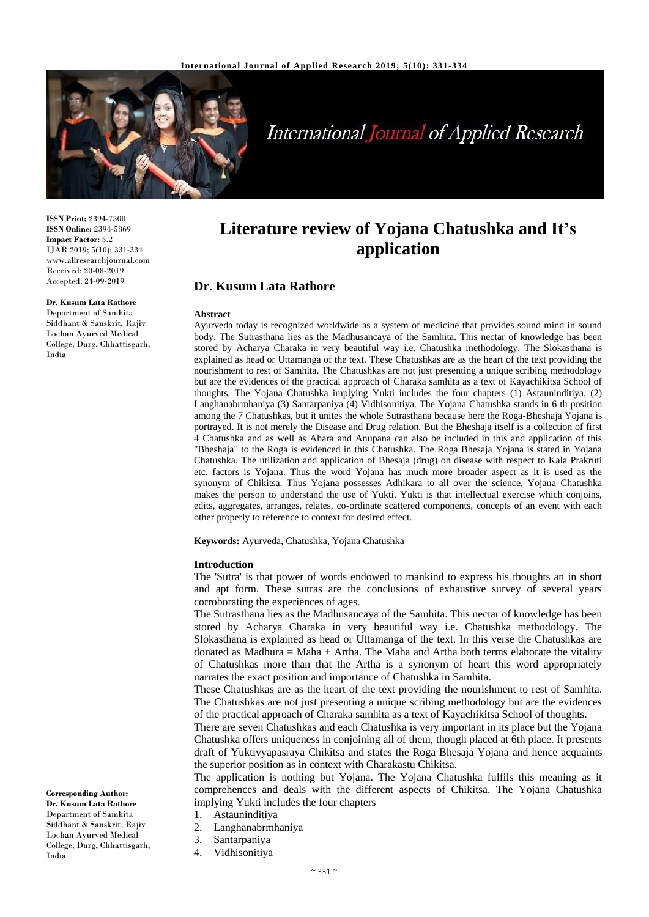

# **International Journal of Applied Research**

**ISSN Print:** 2394-7500 **ISSN Online:** 2394-5869 **Impact Factor:** 5.2 IJAR 2019; 5(10): 331-334 www.allresearchjournal.com Received: 20-08-2019 Accepted: 24-09-2019

# **Dr. Kusum Lata Rathore**

Department of Samhita Siddhant & Sanskrit, Rajiv Lochan Ayurved Medical College, Durg, Chhattisgarh, India

**Literature review of Yojana Chatushka and It's application**

# **Dr. Kusum Lata Rathore**

#### **Abstract**

Ayurveda today is recognized worldwide as a system of medicine that provides sound mind in sound body. The Sutrasthana lies as the Madhusancaya of the Samhita. This nectar of knowledge has been stored by Acharya Charaka in very beautiful way i.e. Chatushka methodology. The Slokasthana is explained as head or Uttamanga of the text. These Chatushkas are as the heart of the text providing the nourishment to rest of Samhita. The Chatushkas are not just presenting a unique scribing methodology but are the evidences of the practical approach of Charaka samhita as a text of Kayachikitsa School of thoughts. The Yojana Chatushka implying Yukti includes the four chapters (1) Astauninditiya, (2) Langhanabrmhaniya (3) Santarpaniya (4) Vidhisonitiya. The Yojana Chatushka stands in 6 th position among the 7 Chatushkas, but it unites the whole Sutrasthana because here the Roga-Bheshaja Yojana is portrayed. It is not merely the Disease and Drug relation. But the Bheshaja itself is a collection of first 4 Chatushka and as well as Ahara and Anupana can also be included in this and application of this "Bheshaja" to the Roga is evidenced in this Chatushka. The Roga Bhesaja Yojana is stated in Yojana Chatushka. The utilization and application of Bhesaja (drug) on disease with respect to Kala Prakruti etc. factors is Yojana. Thus the word Yojana has much more broader aspect as it is used as the synonym of Chikitsa. Thus Yojana possesses Adhikara to all over the science. Yojana Chatushka makes the person to understand the use of Yukti. Yukti is that intellectual exercise which conjoins, edits, aggregates, arranges, relates, co-ordinate scattered components, concepts of an event with each other properly to reference to context for desired effect.

**Keywords:** Ayurveda, Chatushka, Yojana Chatushka

#### **Introduction**

The 'Sutra' is that power of words endowed to mankind to express his thoughts an in short and apt form. These sutras are the conclusions of exhaustive survey of several years corroborating the experiences of ages.

The Sutrasthana lies as the Madhusancaya of the Samhita. This nectar of knowledge has been stored by Acharya Charaka in very beautiful way i.e. Chatushka methodology. The Slokasthana is explained as head or Uttamanga of the text. In this verse the Chatushkas are donated as Madhura = Maha + Artha. The Maha and Artha both terms elaborate the vitality of Chatushkas more than that the Artha is a synonym of heart this word appropriately narrates the exact position and importance of Chatushka in Samhita.

These Chatushkas are as the heart of the text providing the nourishment to rest of Samhita. The Chatushkas are not just presenting a unique scribing methodology but are the evidences of the practical approach of Charaka samhita as a text of Kayachikitsa School of thoughts.

There are seven Chatushkas and each Chatushka is very important in its place but the Yojana Chatushka offers uniqueness in conjoining all of them, though placed at 6th place. It presents draft of Yuktivyapasraya Chikitsa and states the Roga Bhesaja Yojana and hence acquaints the superior position as in context with Charakastu Chikitsa.

The application is nothing but Yojana. The Yojana Chatushka fulfils this meaning as it comprehences and deals with the different aspects of Chikitsa. The Yojana Chatushka implying Yukti includes the four chapters

- 1. Astauninditiya
- 2. Langhanabrmhaniya
- 3. Santarpaniya
- 4. Vidhisonitiya
- $\sim$  331  $\sim$

**Dr. Kusum Lata Rathore** Department of Samhita Siddhant & Sanskrit, Rajiv Lochan Ayurved Medical

**Corresponding Author:**

# College, Durg, Chhattisgarh, India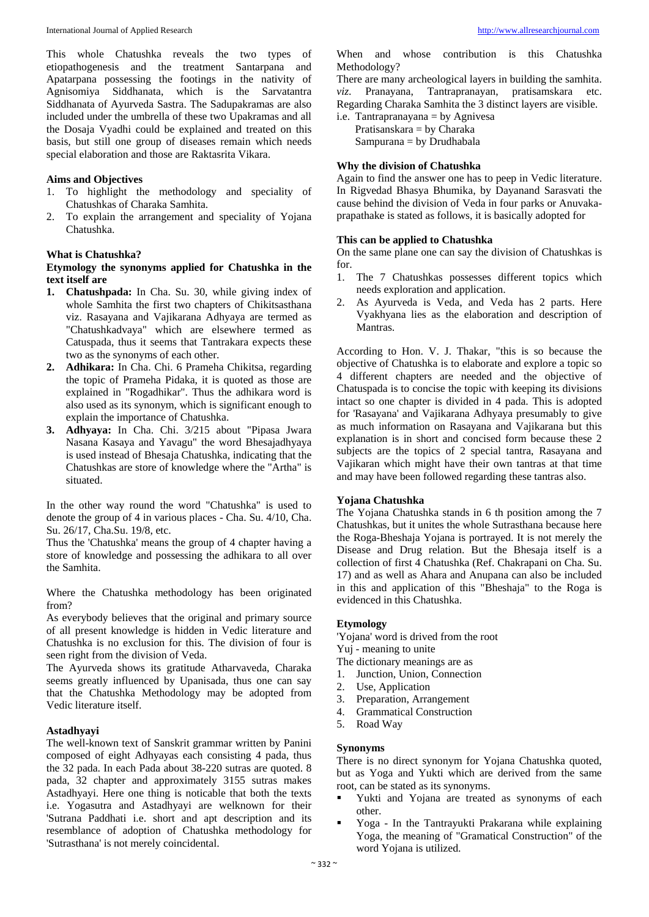This whole Chatushka reveals the two types of etiopathogenesis and the treatment Santarpana and Apatarpana possessing the footings in the nativity of Agnisomiya Siddhanata, which is the Sarvatantra Siddhanata of Ayurveda Sastra. The Sadupakramas are also included under the umbrella of these two Upakramas and all the Dosaja Vyadhi could be explained and treated on this basis, but still one group of diseases remain which needs special elaboration and those are Raktasrita Vikara.

## **Aims and Objectives**

- 1. To highlight the methodology and speciality of Chatushkas of Charaka Samhita.
- 2. To explain the arrangement and speciality of Yojana Chatushka.

## **What is Chatushka?**

## **Etymology the synonyms applied for Chatushka in the text itself are**

- **1. Chatushpada:** In Cha. Su. 30, while giving index of whole Samhita the first two chapters of Chikitsasthana viz. Rasayana and Vajikarana Adhyaya are termed as "Chatushkadvaya" which are elsewhere termed as Catuspada, thus it seems that Tantrakara expects these two as the synonyms of each other.
- **2. Adhikara:** In Cha. Chi. 6 Prameha Chikitsa, regarding the topic of Prameha Pidaka, it is quoted as those are explained in "Rogadhikar". Thus the adhikara word is also used as its synonym, which is significant enough to explain the importance of Chatushka.
- **3. Adhyaya:** In Cha. Chi. 3/215 about "Pipasa Jwara Nasana Kasaya and Yavagu" the word Bhesajadhyaya is used instead of Bhesaja Chatushka, indicating that the Chatushkas are store of knowledge where the "Artha" is situated.

In the other way round the word "Chatushka" is used to denote the group of 4 in various places - Cha. Su. 4/10, Cha. Su. 26/17, Cha.Su. 19/8, etc.

Thus the 'Chatushka' means the group of 4 chapter having a store of knowledge and possessing the adhikara to all over the Samhita.

Where the Chatushka methodology has been originated from?

As everybody believes that the original and primary source of all present knowledge is hidden in Vedic literature and Chatushka is no exclusion for this. The division of four is seen right from the division of Veda.

The Ayurveda shows its gratitude Atharvaveda, Charaka seems greatly influenced by Upanisada, thus one can say that the Chatushka Methodology may be adopted from Vedic literature itself.

## **Astadhyayi**

The well-known text of Sanskrit grammar written by Panini composed of eight Adhyayas each consisting 4 pada, thus the 32 pada. In each Pada about 38-220 sutras are quoted. 8 pada, 32 chapter and approximately 3155 sutras makes Astadhyayi. Here one thing is noticable that both the texts i.e. Yogasutra and Astadhyayi are welknown for their 'Sutrana Paddhati i.e. short and apt description and its resemblance of adoption of Chatushka methodology for 'Sutrasthana' is not merely coincidental.

When and whose contribution is this Chatushka Methodology?

There are many archeological layers in building the samhita. *viz*. Pranayana, Tantrapranayan, pratisamskara etc. Regarding Charaka Samhita the 3 distinct layers are visible.

i.e. Tantrapranayana = by Agnivesa Pratisanskara = by Charaka  $Sampurana = by Drudhabala$ 

## **Why the division of Chatushka**

Again to find the answer one has to peep in Vedic literature. In Rigvedad Bhasya Bhumika, by Dayanand Sarasvati the cause behind the division of Veda in four parks or Anuvakaprapathake is stated as follows, it is basically adopted for

## **This can be applied to Chatushka**

On the same plane one can say the division of Chatushkas is for.

- 1. The 7 Chatushkas possesses different topics which needs exploration and application.
- 2. As Ayurveda is Veda, and Veda has 2 parts. Here Vyakhyana lies as the elaboration and description of Mantras.

According to Hon. V. J. Thakar, "this is so because the objective of Chatushka is to elaborate and explore a topic so 4 different chapters are needed and the objective of Chatuspada is to concise the topic with keeping its divisions intact so one chapter is divided in 4 pada. This is adopted for 'Rasayana' and Vajikarana Adhyaya presumably to give as much information on Rasayana and Vajikarana but this explanation is in short and concised form because these 2 subjects are the topics of 2 special tantra, Rasayana and Vajikaran which might have their own tantras at that time and may have been followed regarding these tantras also.

## **Yojana Chatushka**

The Yojana Chatushka stands in 6 th position among the 7 Chatushkas, but it unites the whole Sutrasthana because here the Roga-Bheshaja Yojana is portrayed. It is not merely the Disease and Drug relation. But the Bhesaja itself is a collection of first 4 Chatushka (Ref. Chakrapani on Cha. Su. 17) and as well as Ahara and Anupana can also be included in this and application of this "Bheshaja" to the Roga is evidenced in this Chatushka.

# **Etymology**

'Yojana' word is drived from the root Yuj - meaning to unite

- The dictionary meanings are as
- 1. Junction, Union, Connection
- 2. Use, Application
- 3. Preparation, Arrangement
- 4. Grammatical Construction
- 5. Road Way

## **Synonyms**

There is no direct synonym for Yojana Chatushka quoted, but as Yoga and Yukti which are derived from the same root, can be stated as its synonyms.

- Yukti and Yojana are treated as synonyms of each other.
- Yoga In the Tantrayukti Prakarana while explaining Yoga, the meaning of "Gramatical Construction" of the word Yojana is utilized.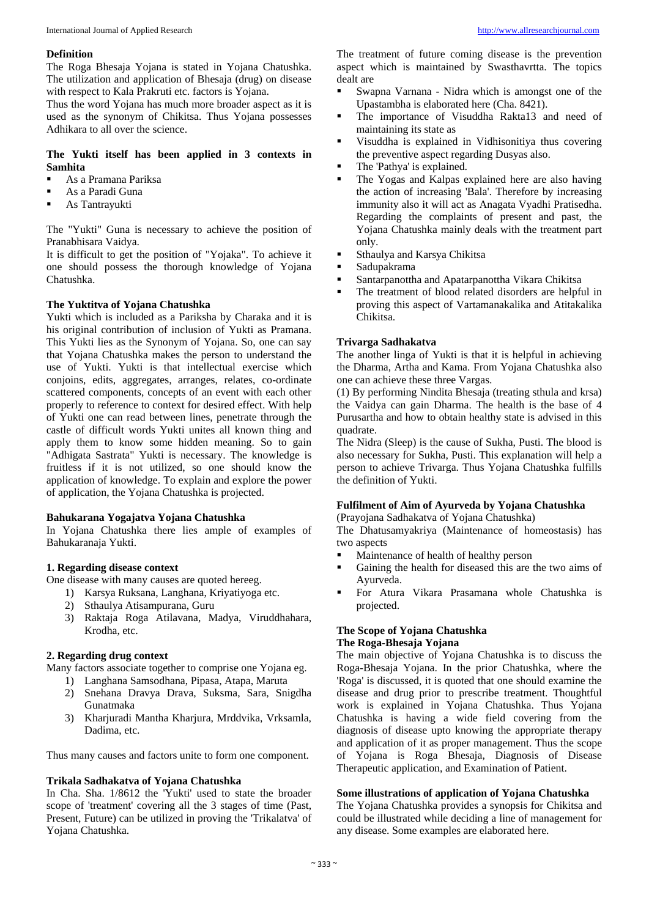## **Definition**

The Roga Bhesaja Yojana is stated in Yojana Chatushka. The utilization and application of Bhesaja (drug) on disease with respect to Kala Prakruti etc. factors is Yojana.

Thus the word Yojana has much more broader aspect as it is used as the synonym of Chikitsa. Thus Yojana possesses Adhikara to all over the science.

# **The Yukti itself has been applied in 3 contexts in Samhita**

- As a Pramana Pariksa
- As a Paradi Guna
- **As Tantrayukti**

The "Yukti" Guna is necessary to achieve the position of Pranabhisara Vaidya.

It is difficult to get the position of "Yojaka". To achieve it one should possess the thorough knowledge of Yojana Chatushka.

## **The Yuktitva of Yojana Chatushka**

Yukti which is included as a Pariksha by Charaka and it is his original contribution of inclusion of Yukti as Pramana. This Yukti lies as the Synonym of Yojana. So, one can say that Yojana Chatushka makes the person to understand the use of Yukti. Yukti is that intellectual exercise which conjoins, edits, aggregates, arranges, relates, co-ordinate scattered components, concepts of an event with each other properly to reference to context for desired effect. With help of Yukti one can read between lines, penetrate through the castle of difficult words Yukti unites all known thing and apply them to know some hidden meaning. So to gain "Adhigata Sastrata" Yukti is necessary. The knowledge is fruitless if it is not utilized, so one should know the application of knowledge. To explain and explore the power of application, the Yojana Chatushka is projected.

# **Bahukarana Yogajatva Yojana Chatushka**

In Yojana Chatushka there lies ample of examples of Bahukaranaja Yukti.

## **1. Regarding disease context**

One disease with many causes are quoted hereeg.

- 1) Karsya Ruksana, Langhana, Kriyatiyoga etc.
- 2) Sthaulya Atisampurana, Guru
- 3) Raktaja Roga Atilavana, Madya, Viruddhahara, Krodha, etc.

## **2. Regarding drug context**

Many factors associate together to comprise one Yojana eg.

- 1) Langhana Samsodhana, Pipasa, Atapa, Maruta
- 2) Snehana Dravya Drava, Suksma, Sara, Snigdha Gunatmaka
- 3) Kharjuradi Mantha Kharjura, Mrddvika, Vrksamla, Dadima, etc.

Thus many causes and factors unite to form one component.

#### **Trikala Sadhakatva of Yojana Chatushka**

In Cha. Sha. 1/8612 the 'Yukti' used to state the broader scope of 'treatment' covering all the 3 stages of time (Past, Present, Future) can be utilized in proving the 'Trikalatva' of Yojana Chatushka.

The treatment of future coming disease is the prevention aspect which is maintained by Swasthavrtta. The topics dealt are

- Swapna Varnana Nidra which is amongst one of the Upastambha is elaborated here (Cha. 8421).
- The importance of Visuddha Rakta13 and need of maintaining its state as
- Visuddha is explained in Vidhisonitiya thus covering the preventive aspect regarding Dusyas also.
- The 'Pathya' is explained.
- The Yogas and Kalpas explained here are also having the action of increasing 'Bala'. Therefore by increasing immunity also it will act as Anagata Vyadhi Pratisedha. Regarding the complaints of present and past, the Yojana Chatushka mainly deals with the treatment part only.
- **Sthaulya and Karsya Chikitsa**
- **Sadupakrama**
- Santarpanottha and Apatarpanottha Vikara Chikitsa
- The treatment of blood related disorders are helpful in proving this aspect of Vartamanakalika and Atitakalika Chikitsa.

## **Trivarga Sadhakatva**

The another linga of Yukti is that it is helpful in achieving the Dharma, Artha and Kama. From Yojana Chatushka also one can achieve these three Vargas.

(1) By performing Nindita Bhesaja (treating sthula and krsa) the Vaidya can gain Dharma. The health is the base of 4 Purusartha and how to obtain healthy state is advised in this quadrate.

The Nidra (Sleep) is the cause of Sukha, Pusti. The blood is also necessary for Sukha, Pusti. This explanation will help a person to achieve Trivarga. Thus Yojana Chatushka fulfills the definition of Yukti.

# **Fulfilment of Aim of Ayurveda by Yojana Chatushka**

(Prayojana Sadhakatva of Yojana Chatushka)

The Dhatusamyakriya (Maintenance of homeostasis) has two aspects

- Maintenance of health of healthy person
- Gaining the health for diseased this are the two aims of Ayurveda.
- For Atura Vikara Prasamana whole Chatushka is projected.

## **The Scope of Yojana Chatushka The Roga-Bhesaja Yojana**

The main objective of Yojana Chatushka is to discuss the Roga-Bhesaja Yojana. In the prior Chatushka, where the 'Roga' is discussed, it is quoted that one should examine the disease and drug prior to prescribe treatment. Thoughtful work is explained in Yojana Chatushka. Thus Yojana Chatushka is having a wide field covering from the diagnosis of disease upto knowing the appropriate therapy and application of it as proper management. Thus the scope of Yojana is Roga Bhesaja, Diagnosis of Disease Therapeutic application, and Examination of Patient.

## **Some illustrations of application of Yojana Chatushka**

The Yojana Chatushka provides a synopsis for Chikitsa and could be illustrated while deciding a line of management for any disease. Some examples are elaborated here.